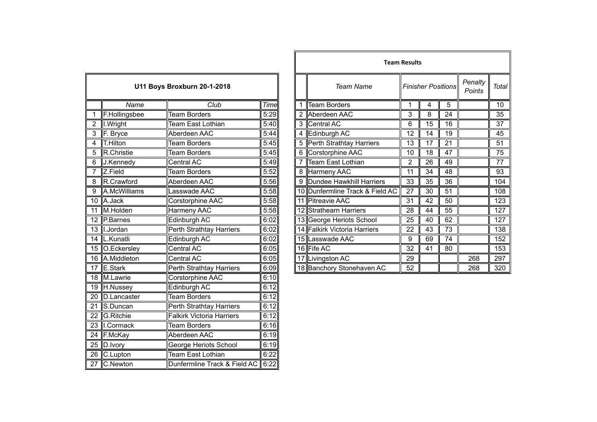| U11 Boys Broxburn 20-1-2018 |                        |                                  |      |  |  |
|-----------------------------|------------------------|----------------------------------|------|--|--|
|                             | Name                   | Club                             | Time |  |  |
| 1                           | F.Hollingsbee          | <b>Team Borders</b>              | 5:29 |  |  |
| $\overline{2}$              | I.Wright               | <b>Team East Lothian</b>         | 5:40 |  |  |
| 3                           | $\overline{F}$ . Bryce | Aberdeen AAC                     | 5:44 |  |  |
| 4                           | <b>T.Hilton</b>        | <b>Team Borders</b>              | 5:45 |  |  |
| 5                           | R.Christie             | <b>Team Borders</b>              | 5:45 |  |  |
| 6                           | J.Kennedy              | Central AC                       | 5:49 |  |  |
| 7                           | Z.Field                | Team Borders                     | 5:52 |  |  |
| 8                           | R.Crawford             | Aberdeen AAC                     | 5:56 |  |  |
| $\overline{9}$              | A.McWilliams           | Lasswade AAC                     | 5:58 |  |  |
| $\overline{10}$             | A.Jack                 | Corstorphine AAC                 | 5:58 |  |  |
| 11                          | M.Holden               | <b>Harmeny AAC</b>               | 5:58 |  |  |
| $\overline{12}$             | P.Barnes               | Edinburgh AC                     | 6:02 |  |  |
| 13                          | I.Jordan               | Perth Strathtay Harriers         | 6:02 |  |  |
| $\overline{14}$             | L.Kunatli              | <b>Edinburgh AC</b>              | 6:02 |  |  |
| $\overline{15}$             | O.Eckersley            | <b>Central AC</b>                | 6:05 |  |  |
| $\overline{16}$             | A.Middleton            | <b>Central AC</b>                | 6:05 |  |  |
| 17                          | <b>E.Stark</b>         | Perth Strathtay Harriers         | 6:09 |  |  |
| $\overline{18}$             | M.Lawrie               | <b>Corstorphine AAC</b>          | 6:10 |  |  |
| $\overline{19}$             | H.Nussey               | Edinburgh AC                     | 6:12 |  |  |
| $\overline{20}$             | D.Lancaster            | <b>Team Borders</b>              | 6:12 |  |  |
| $\overline{21}$             | S.Duncan               | Perth Strathtay Harriers         | 6:12 |  |  |
| 22                          | G.Ritchie              | <b>Falkirk Victoria Harriers</b> | 6:12 |  |  |
| $\overline{23}$             | I.Cormack              | <b>Team Borders</b>              | 6:16 |  |  |
| $\overline{24}$             | F.McKay                | Aberdeen AAC                     | 6:19 |  |  |
| $\overline{25}$             | D.Ivory                | George Heriots School            | 6:19 |  |  |
| 26                          | C.Lupton               | <b>Team East Lothian</b>         | 6:22 |  |  |
| $\overline{27}$             | C.Newton               | Dunfermline Track & Field AC     | 6:22 |  |  |

|                |                      |                             |      |   |                                 | <b>Team Results</b> |                           |    |                   |                 |
|----------------|----------------------|-----------------------------|------|---|---------------------------------|---------------------|---------------------------|----|-------------------|-----------------|
|                |                      | U11 Boys Broxburn 20-1-2018 |      |   | <b>Team Name</b>                |                     | <b>Finisher Positions</b> |    | Penalty<br>Points | Total           |
|                | Name                 | Club                        | Time |   | Team Borders                    |                     | 4                         | 5  |                   | 10 <sub>1</sub> |
|                | F.Hollingsbee        | <b>Team Borders</b>         | 5:29 |   | 2 Aberdeen AAC                  | 3                   | 8                         | 24 |                   | 35              |
| 2              | I.Wright             | Team East Lothian           | 5:40 | 3 | Central AC                      | 6                   | 15                        | 16 |                   | 37              |
|                | F. Bryce             | Aberdeen AAC                | 5:44 | 4 | Edinburgh AC                    | 12                  | 14                        | 19 |                   | 45              |
| $\overline{4}$ | $\mathsf{T}$ .Hilton | <b>Team Borders</b>         | 5:45 |   | 5 Perth Strathtay Harriers      | 13                  | 17                        | 21 |                   | 51              |
| 5              | R.Christie           | Team Borders                | 5:45 | 6 | Corstorphine AAC                | 10                  | 18                        | 47 |                   | 75              |
| 6              | J.Kennedy            | Central AC                  | 5:49 |   | Team East Lothian               | 2                   | 26                        | 49 |                   | 77              |
| $\overline{7}$ | Z.Field              | <b>Team Borders</b>         | 5:52 |   | 8 Harmeny AAC                   | 11                  | 34                        | 48 |                   | 93              |
| 8              | R.Crawford           | Aberdeen AAC                | 5:56 |   | 9 Dundee Hawkhill Harriers      | 33                  | 35                        | 36 |                   | 104             |
| $\overline{9}$ | A.McWilliams         | Lasswade AAC                | 5:58 |   | 10 Dunfermline Track & Field AC | 27                  | 30                        | 51 |                   | 108             |
|                | 10 A.Jack            | Corstorphine AAC            | 5:58 |   | 11 Pitreavie AAC                | 31                  | 42                        | 50 |                   | 123             |
|                | 11 M.Holden          | Harmeny AAC                 | 5:58 |   | 12 Strathearn Harriers          | 28                  | 44                        | 55 |                   | 127             |
|                | 12 P.Barnes          | Edinburgh AC                | 6:02 |   | 13 George Heriots School        | 25                  | 40                        | 62 |                   | 127             |
|                | 13   I.Jordan        | Perth Strathtay Harriers    | 6:02 |   | 14 Falkirk Victoria Harriers    | 22                  | 43                        | 73 |                   | 138             |
|                | 14  L.Kunatli        | Edinburgh AC                | 6:02 |   | 15 Lasswade AAC                 | 9                   | 69                        | 74 |                   | 152             |
|                | 15 O.Eckersley       | Central AC                  | 6:05 |   | 16 Fife AC                      | 32                  | 41                        | 80 |                   | 153             |
|                | 16 A.Middleton       | Central AC                  | 6:05 |   | 17 Livingston AC                | 29                  |                           |    | 268               | 297             |
|                | 17 E.Stark           | Perth Strathtay Harriers    | 6:09 |   | 18 Banchory Stonehaven AC       | 52                  |                           |    | 268               | 320             |
|                |                      |                             |      |   |                                 |                     |                           |    |                   |                 |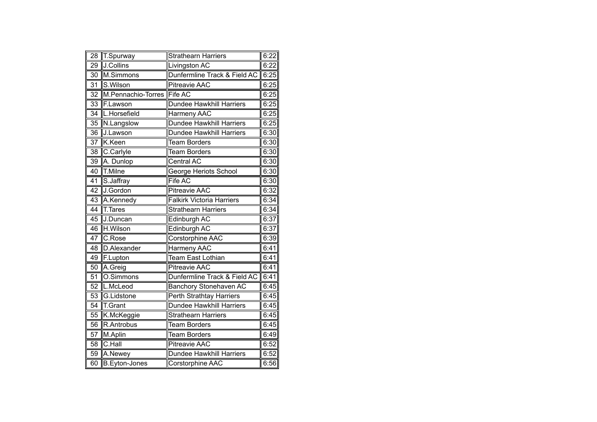| $\overline{28}$ | <b>T.Spurway</b>           | <b>Strathearn Harriers</b>       | 6:22 |
|-----------------|----------------------------|----------------------------------|------|
| 29              | J.Collins                  | <b>Livingston AC</b>             | 6:22 |
| 30              | M.Simmons                  | Dunfermline Track & Field AC     | 6:25 |
| 31              | S.Wilson                   | Pitreavie AAC                    | 6:25 |
| $\overline{32}$ | M.Pennachio-Torres Fife AC |                                  | 6:25 |
| 33              | F.Lawson                   | Dundee Hawkhill Harriers         | 6:25 |
| 34              | L.Horsefield               | Harmeny AAC                      | 6:25 |
| 35              | N.Langslow                 | Dundee Hawkhill Harriers         | 6:25 |
| 36              | J.Lawson                   | Dundee Hawkhill Harriers         | 6:30 |
| $\overline{37}$ | K.Keen                     | <b>Team Borders</b>              | 6:30 |
| 38              | C.Carlyle                  | <b>Team Borders</b>              | 6:30 |
| 39              | A. Dunlop                  | Central AC                       | 6:30 |
| 40              | T.Milne                    | <b>George Heriots School</b>     | 6:30 |
| 41              | S.Jaffray                  | <b>Fife AC</b>                   | 6:30 |
| $\overline{42}$ | J.Gordon                   | <b>Pitreavie AAC</b>             | 6:32 |
| $\overline{43}$ | A.Kennedy                  | <b>Falkirk Victoria Harriers</b> | 6:34 |
| $\overline{44}$ | T.Tares                    | <b>Strathearn Harriers</b>       | 6:34 |
| 45              | J.Duncan                   | Edinburgh AC                     | 6:37 |
| 46              | H.Wilson                   | Edinburgh AC                     | 6:37 |
| 47              | C.Rose                     | Corstorphine AAC                 | 6:39 |
| 48              | D.Alexander                | <b>Harmeny AAC</b>               | 6:41 |
| 49              | F.Lupton                   | <b>Team East Lothian</b>         | 6:41 |
| $\overline{50}$ | A.Greig                    | <b>Pitreavie AAC</b>             | 6:41 |
| $\overline{51}$ | O.Simmons                  | Dunfermline Track & Field AC     | 6:41 |
| 52              | L.McLeod                   | <b>Banchory Stonehaven AC</b>    | 6:45 |
| 53              | G.Lidstone                 | Perth Strathtay Harriers         | 6:45 |
| 54              | <b>T.Grant</b>             | <b>Dundee Hawkhill Harriers</b>  | 6:45 |
| 55              | K.McKeggie                 | <b>Strathearn Harriers</b>       | 6:45 |
| 56              | R.Antrobus                 | <b>Team Borders</b>              | 6:45 |
| 57              | M.Aplin                    | <b>Team Borders</b>              | 6:49 |
| 58              | C.Hall                     | <b>Pitreavie AAC</b>             | 6:52 |
| 59              | A.Newey                    | Dundee Hawkhill Harriers         | 6:52 |
| 60              | <b>B.Eyton-Jones</b>       | Corstorphine AAC                 | 6:56 |